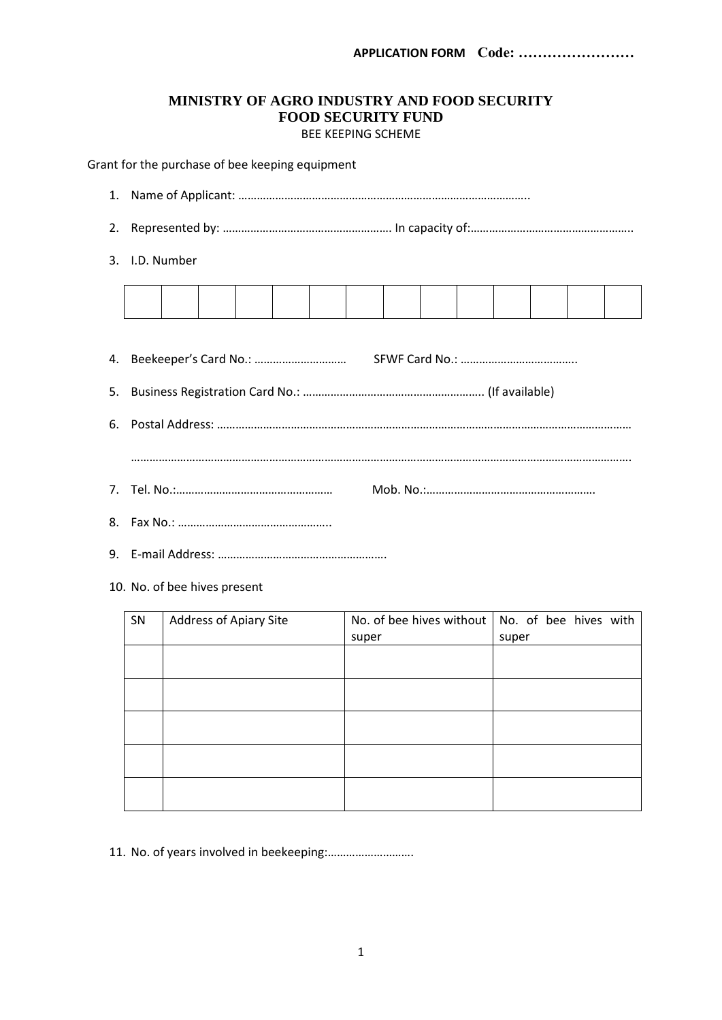# **MINISTRY OF AGRO INDUSTRY AND FOOD SECURITY FOOD SECURITY FUND** BEE KEEPING SCHEME

Grant for the purchase of bee keeping equipment

- 1. Name of Applicant: …………………………………………………………………………………..
- 2. Represented by: ………………………………………………. In capacity of:……………………………………………..
- 3. I.D. Number

- 9. E-mail Address: ……………………………………………….
- 10. No. of bee hives present

| SN | Address of Apiary Site |       | No. of bee hives without $\vert$ No. of bee hives with |
|----|------------------------|-------|--------------------------------------------------------|
|    |                        | super | super                                                  |
|    |                        |       |                                                        |
|    |                        |       |                                                        |
|    |                        |       |                                                        |
|    |                        |       |                                                        |
|    |                        |       |                                                        |
|    |                        |       |                                                        |
|    |                        |       |                                                        |
|    |                        |       |                                                        |
|    |                        |       |                                                        |
|    |                        |       |                                                        |

11. No. of years involved in beekeeping:……………………….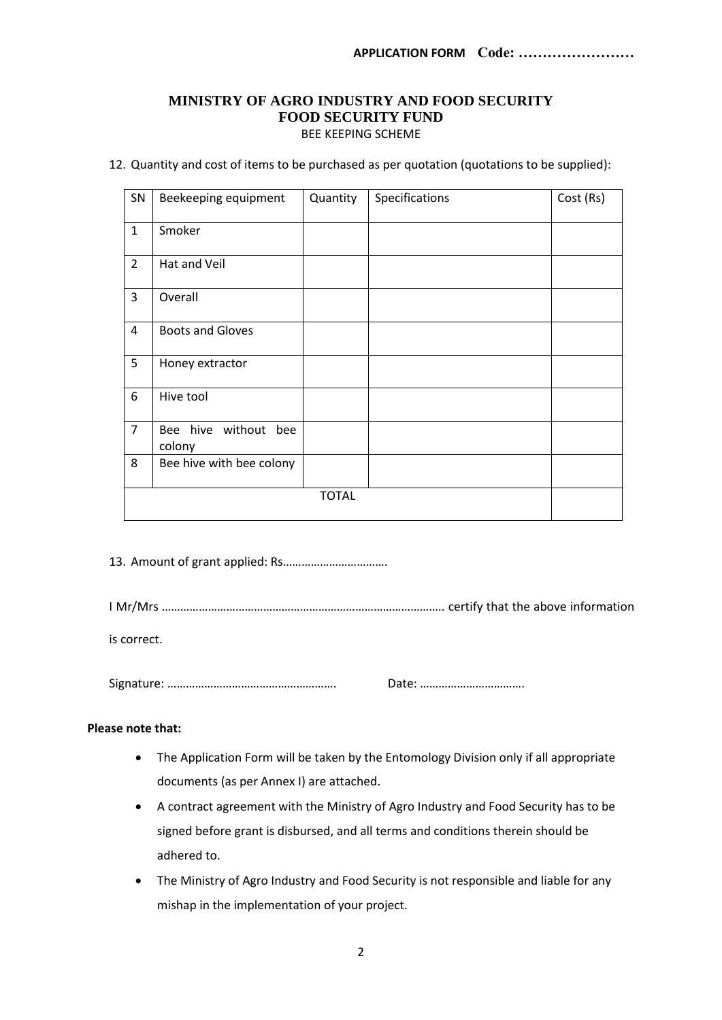# **MINISTRY OF AGRO INDUSTRY AND FOOD SECURITY FOOD SECURITY FUND** BEE KEEPING SCHEME

12. Quantity and cost of items to be purchased as per quotation (quotations to be supplied):

| SN             | Beekeeping equipment           | Quantity     | Specifications | Cost (Rs) |
|----------------|--------------------------------|--------------|----------------|-----------|
| $\mathbf{1}$   | Smoker                         |              |                |           |
| $\overline{2}$ | Hat and Veil                   |              |                |           |
| 3              | Overall                        |              |                |           |
| 4              | <b>Boots and Gloves</b>        |              |                |           |
| 5              | Honey extractor                |              |                |           |
| 6              | Hive tool                      |              |                |           |
| $\overline{7}$ | Bee hive without bee<br>colony |              |                |           |
| 8              | Bee hive with bee colony       |              |                |           |
|                |                                | <b>TOTAL</b> |                |           |

13. Amount of grant applied: Rs…………………………….

I Mr/Mrs ……………………………………………………………………………….. certify that the above information

is correct.

Signature: ………………………………………………. Date: …………………………….

## **Please note that:**

- The Application Form will be taken by the Entomology Division only if all appropriate documents (as per Annex I) are attached.
- A contract agreement with the Ministry of Agro Industry and Food Security has to be signed before grant is disbursed, and all terms and conditions therein should be adhered to.
- The Ministry of Agro Industry and Food Security is not responsible and liable for any mishap in the implementation of your project.